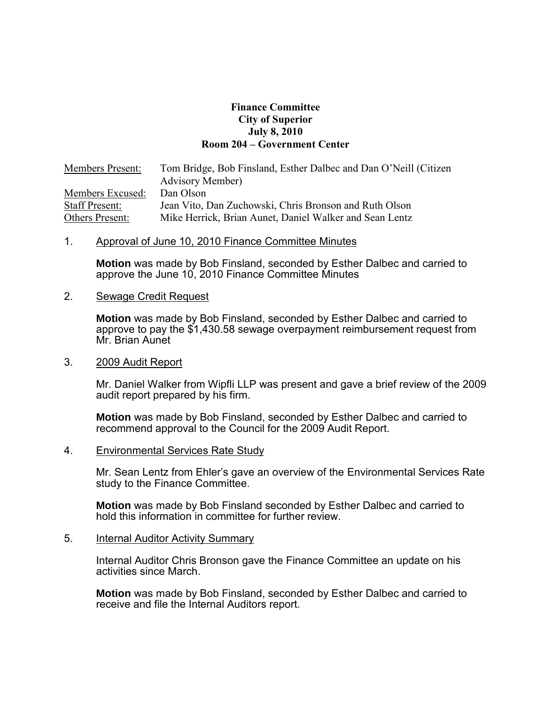# **Finance Committee City of Superior July 8, 2010 Room 204 – Government Center**

| <b>Members Present:</b> | Tom Bridge, Bob Finsland, Esther Dalbec and Dan O'Neill (Citizen |
|-------------------------|------------------------------------------------------------------|
|                         | <b>Advisory Member)</b>                                          |
| Members Excused:        | Dan Olson                                                        |
| <b>Staff Present:</b>   | Jean Vito, Dan Zuchowski, Chris Bronson and Ruth Olson           |
| Others Present:         | Mike Herrick, Brian Aunet, Daniel Walker and Sean Lentz          |

### 1. Approval of June 10, 2010 Finance Committee Minutes

**Motion** was made by Bob Finsland, seconded by Esther Dalbec and carried to approve the June 10, 2010 Finance Committee Minutes

## 2. Sewage Credit Request

**Motion** was made by Bob Finsland, seconded by Esther Dalbec and carried to approve to pay the \$1,430.58 sewage overpayment reimbursement request from Mr. Brian Aunet

### 3. 2009 Audit Report

Mr. Daniel Walker from Wipfli LLP was present and gave a brief review of the 2009 audit report prepared by his firm.

**Motion** was made by Bob Finsland, seconded by Esther Dalbec and carried to recommend approval to the Council for the 2009 Audit Report.

#### 4. Environmental Services Rate Study

Mr. Sean Lentz from Ehler's gave an overview of the Environmental Services Rate study to the Finance Committee.

**Motion** was made by Bob Finsland seconded by Esther Dalbec and carried to hold this information in committee for further review.

#### 5. Internal Auditor Activity Summary

Internal Auditor Chris Bronson gave the Finance Committee an update on his activities since March.

**Motion** was made by Bob Finsland, seconded by Esther Dalbec and carried to receive and file the Internal Auditors report.